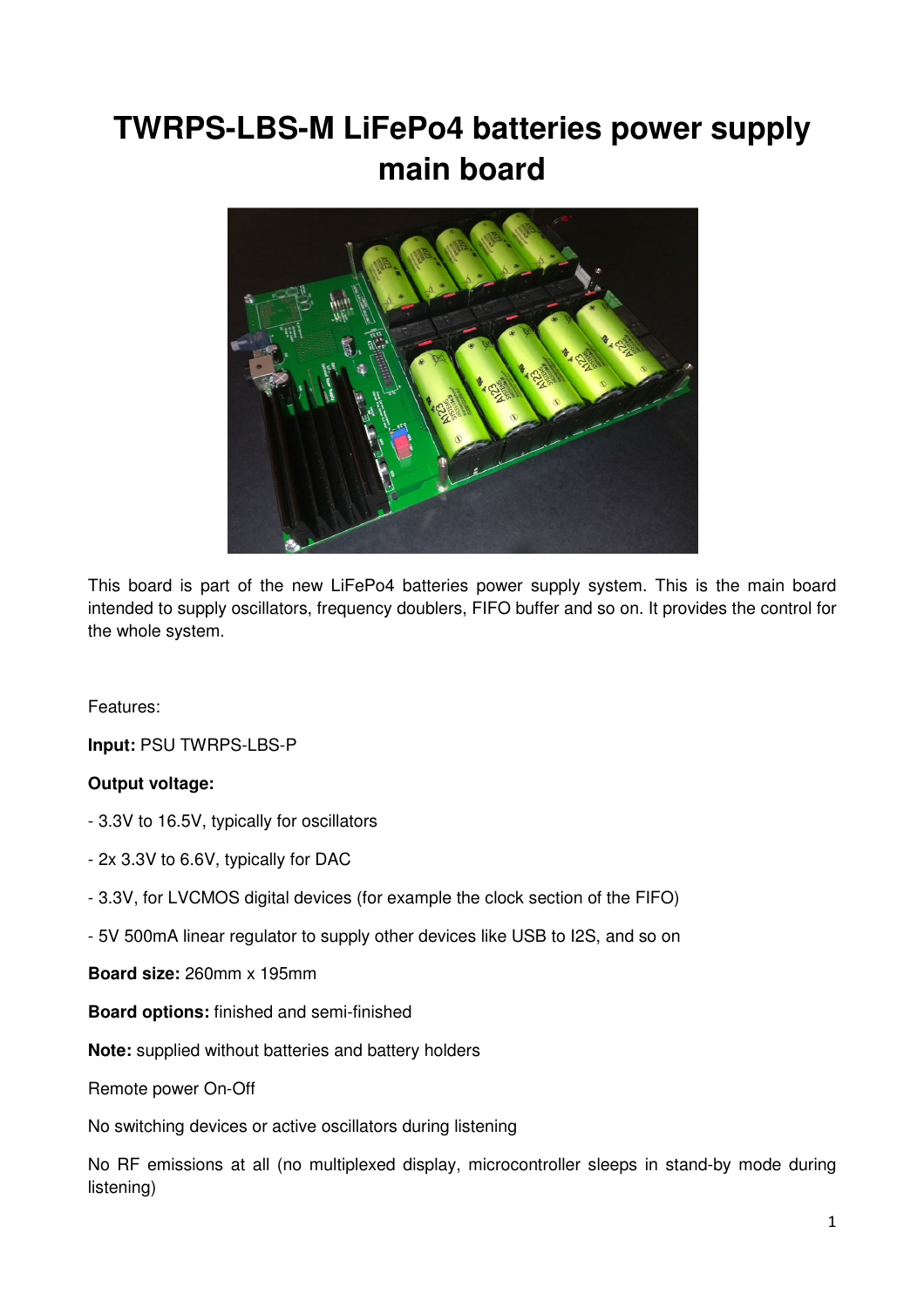# **TWRPS-LBS-M LiFePo4 batteries power supply main board**



This board is part of the new LiFePo4 batteries power supply system. This is the main board intended to supply oscillators, frequency doublers, FIFO buffer and so on. It provides the control for the whole system.

Features:

**Input:** PSU TWRPS-LBS-P

## **Output voltage:**

- 3.3V to 16.5V, typically for oscillators
- 2x 3.3V to 6.6V, typically for DAC
- 3.3V, for LVCMOS digital devices (for example the clock section of the FIFO)
- 5V 500mA linear regulator to supply other devices like USB to I2S, and so on

**Board size:** 260mm x 195mm

**Board options:** finished and semi-finished

**Note:** supplied without batteries and battery holders

Remote power On-Off

No switching devices or active oscillators during listening

No RF emissions at all (no multiplexed display, microcontroller sleeps in stand-by mode during listening)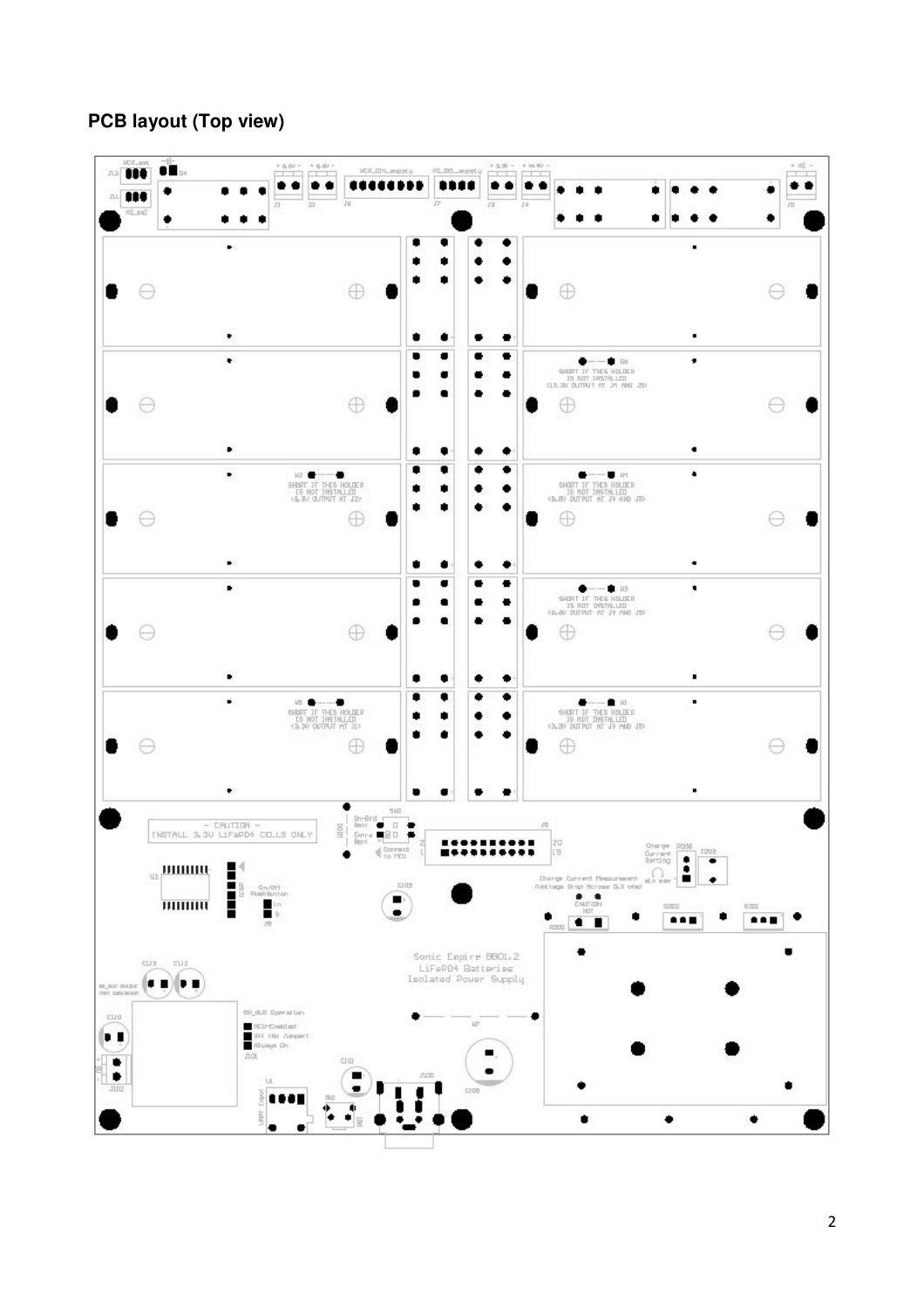# **PCB layout (Top view)**

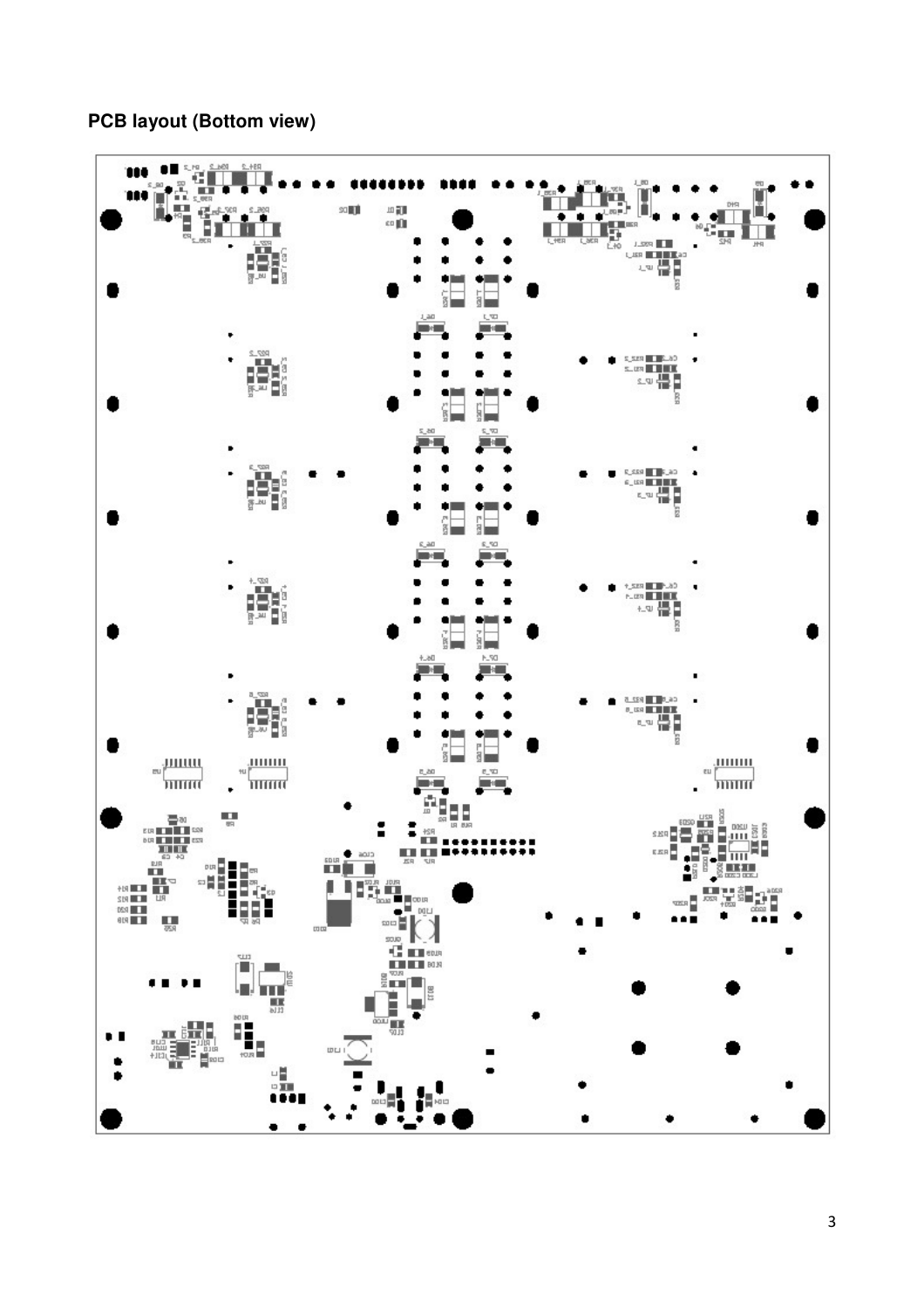## **PCB layout (Bottom view)**

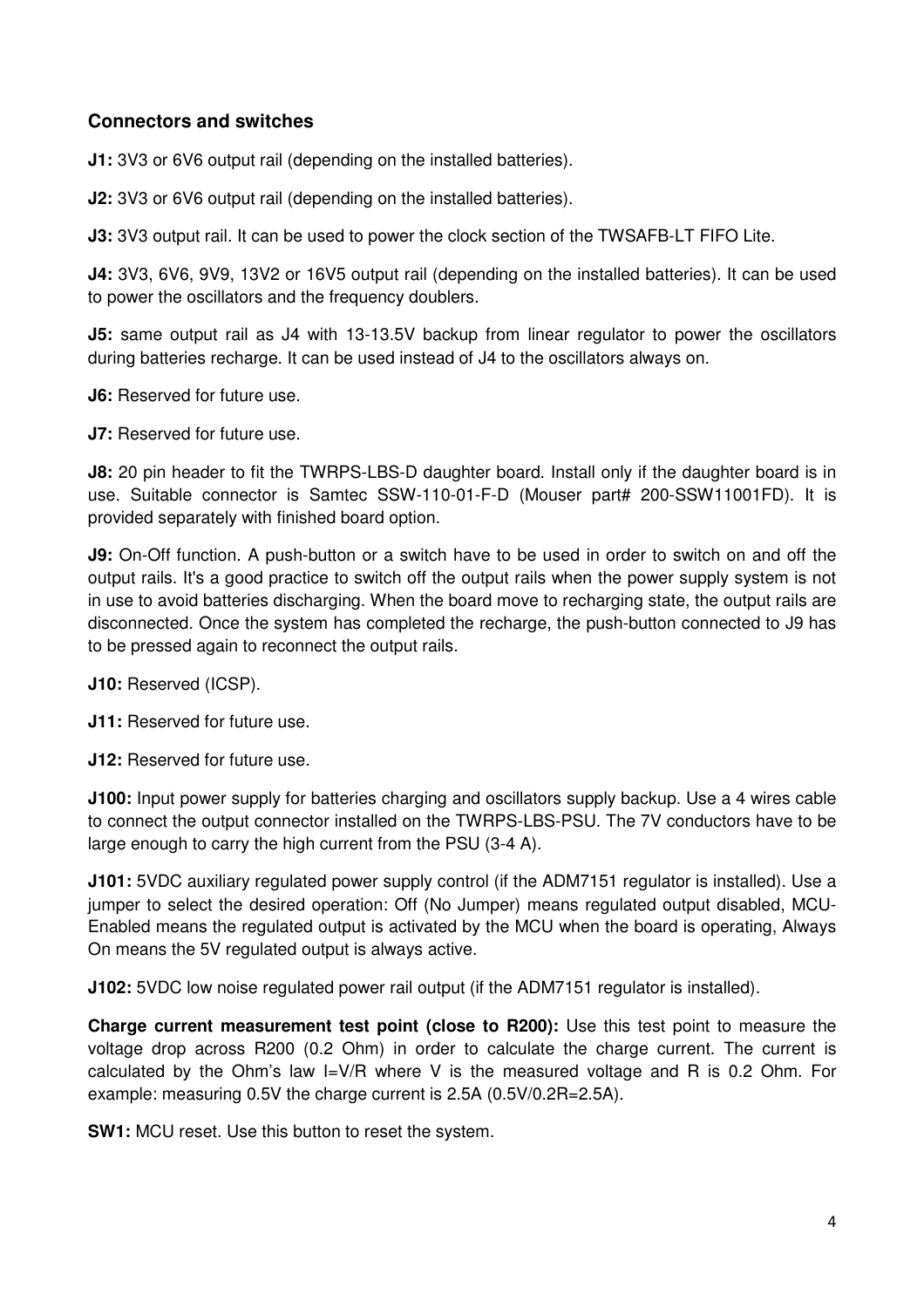# **Connectors and switches**

**J1:** 3V3 or 6V6 output rail (depending on the installed batteries).

**J2:** 3V3 or 6V6 output rail (depending on the installed batteries).

**J3:** 3V3 output rail. It can be used to power the clock section of the TWSAFB-LT FIFO Lite.

**J4:** 3V3, 6V6, 9V9, 13V2 or 16V5 output rail (depending on the installed batteries). It can be used to power the oscillators and the frequency doublers.

**J5:** same output rail as J4 with 13-13.5V backup from linear regulator to power the oscillators during batteries recharge. It can be used instead of J4 to the oscillators always on.

**J6:** Reserved for future use.

**J7:** Reserved for future use.

**J8:** 20 pin header to fit the TWRPS-LBS-D daughter board. Install only if the daughter board is in use. Suitable connector is Samtec SSW-110-01-F-D (Mouser part# 200-SSW11001FD). It is provided separately with finished board option.

**J9:** On-Off function. A push-button or a switch have to be used in order to switch on and off the output rails. It's a good practice to switch off the output rails when the power supply system is not in use to avoid batteries discharging. When the board move to recharging state, the output rails are disconnected. Once the system has completed the recharge, the push-button connected to J9 has to be pressed again to reconnect the output rails.

**J10: Reserved (ICSP).** 

**J11: Reserved for future use.** 

**J12:** Reserved for future use.

**J100:** Input power supply for batteries charging and oscillators supply backup. Use a 4 wires cable to connect the output connector installed on the TWRPS-LBS-PSU. The 7V conductors have to be large enough to carry the high current from the PSU (3-4 A).

**J101:** 5VDC auxiliary regulated power supply control (if the ADM7151 regulator is installed). Use a jumper to select the desired operation: Off (No Jumper) means regulated output disabled, MCU-Enabled means the regulated output is activated by the MCU when the board is operating, Always On means the 5V regulated output is always active.

**J102:** 5VDC low noise regulated power rail output (if the ADM7151 regulator is installed).

**Charge current measurement test point (close to R200):** Use this test point to measure the voltage drop across R200 (0.2 Ohm) in order to calculate the charge current. The current is calculated by the Ohm's law I=V/R where V is the measured voltage and R is 0.2 Ohm. For example: measuring 0.5V the charge current is 2.5A (0.5V/0.2R=2.5A).

**SW1:** MCU reset. Use this button to reset the system.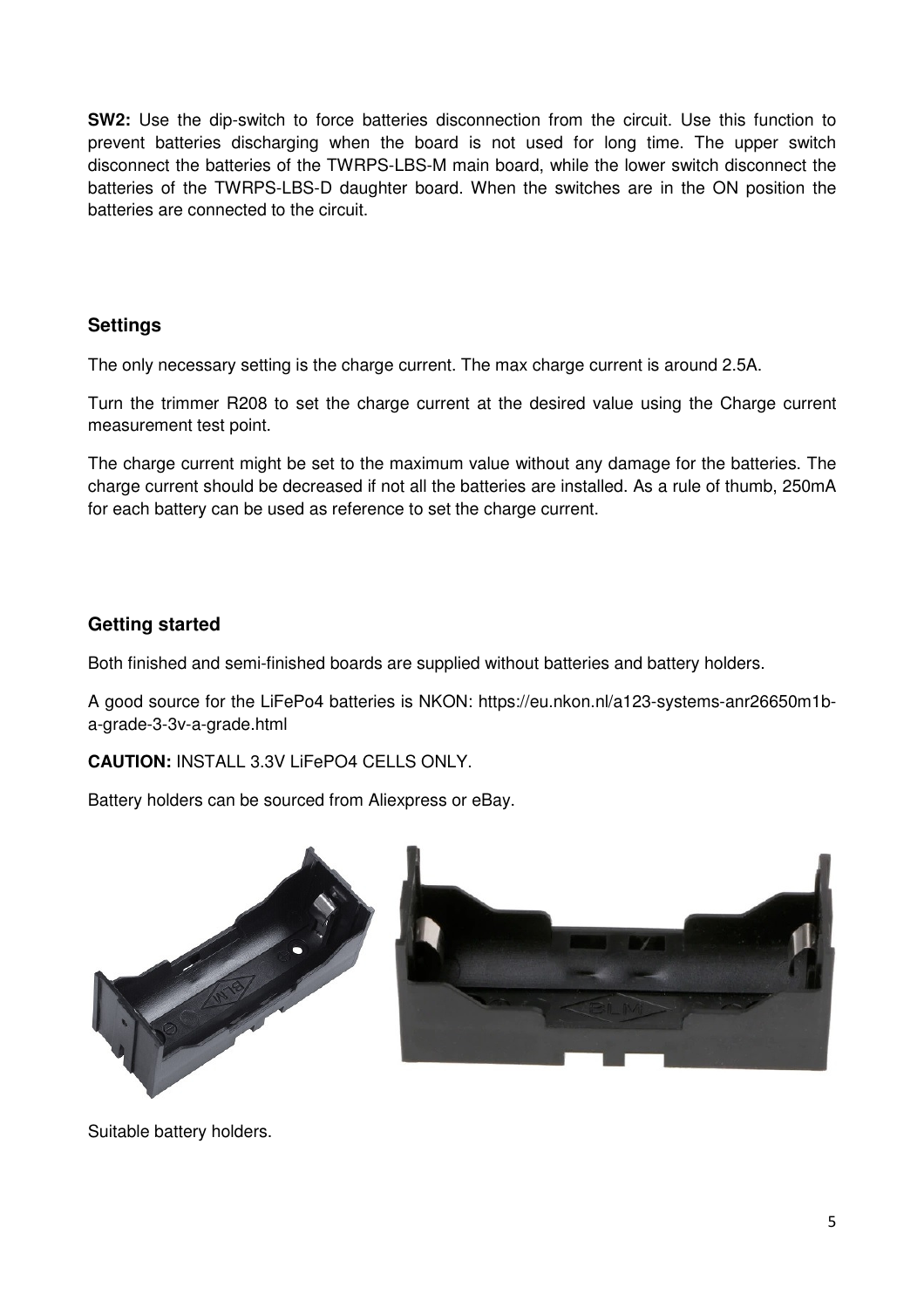**SW2:** Use the dip-switch to force batteries disconnection from the circuit. Use this function to prevent batteries discharging when the board is not used for long time. The upper switch disconnect the batteries of the TWRPS-LBS-M main board, while the lower switch disconnect the batteries of the TWRPS-LBS-D daughter board. When the switches are in the ON position the batteries are connected to the circuit.

# **Settings**

The only necessary setting is the charge current. The max charge current is around 2.5A.

Turn the trimmer R208 to set the charge current at the desired value using the Charge current measurement test point.

The charge current might be set to the maximum value without any damage for the batteries. The charge current should be decreased if not all the batteries are installed. As a rule of thumb, 250mA for each battery can be used as reference to set the charge current.

# **Getting started**

Both finished and semi-finished boards are supplied without batteries and battery holders.

A good source for the LiFePo4 batteries is NKON: https://eu.nkon.nl/a123-systems-anr26650m1ba-grade-3-3v-a-grade.html

**CAUTION:** INSTALL 3.3V LiFePO4 CELLS ONLY.

Battery holders can be sourced from Aliexpress or eBay.



Suitable battery holders.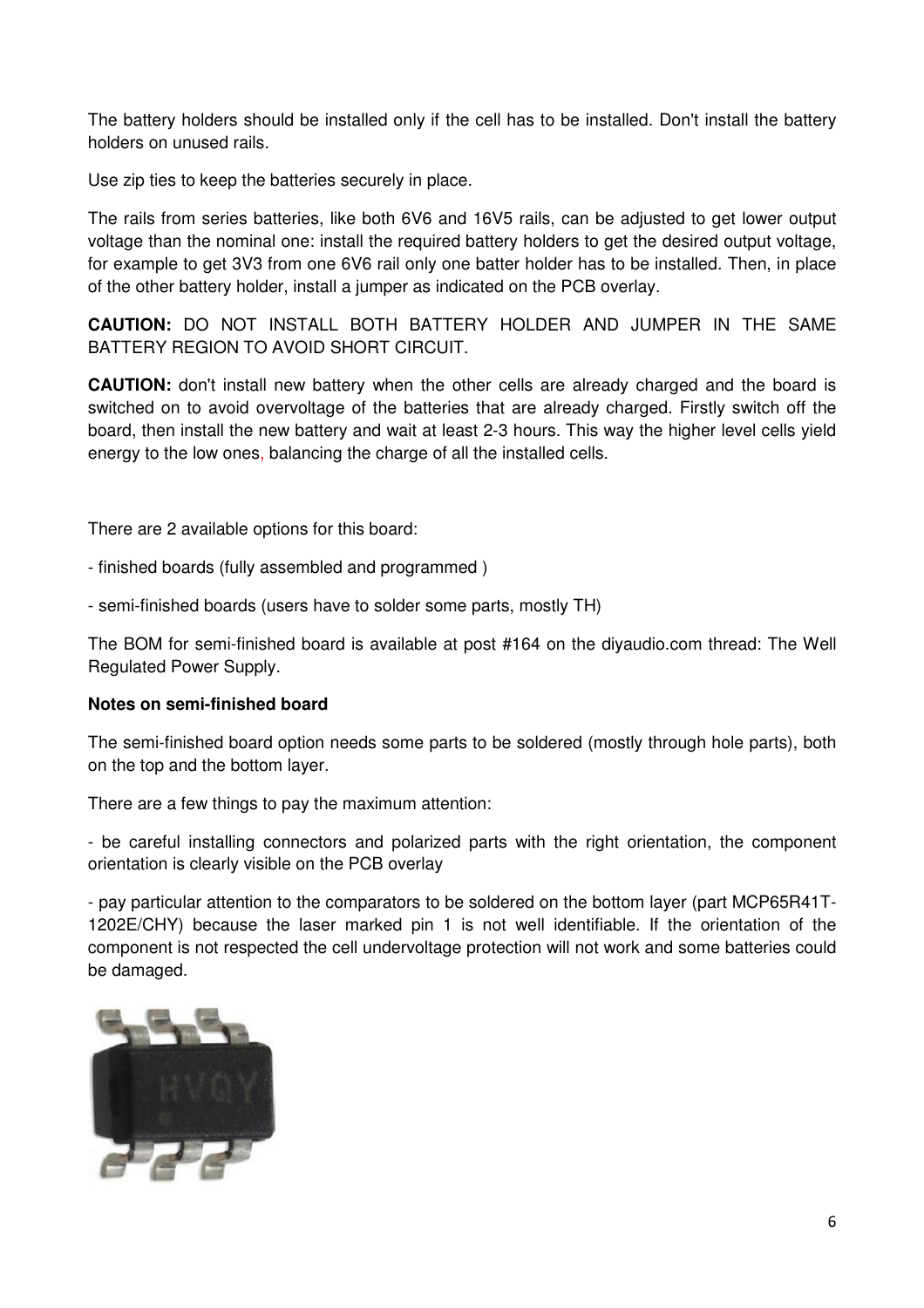The battery holders should be installed only if the cell has to be installed. Don't install the battery holders on unused rails.

Use zip ties to keep the batteries securely in place.

The rails from series batteries, like both 6V6 and 16V5 rails, can be adjusted to get lower output voltage than the nominal one: install the required battery holders to get the desired output voltage, for example to get 3V3 from one 6V6 rail only one batter holder has to be installed. Then, in place of the other battery holder, install a jumper as indicated on the PCB overlay.

**CAUTION:** DO NOT INSTALL BOTH BATTERY HOLDER AND JUMPER IN THE SAME BATTERY REGION TO AVOID SHORT CIRCUIT.

**CAUTION:** don't install new battery when the other cells are already charged and the board is switched on to avoid overvoltage of the batteries that are already charged. Firstly switch off the board, then install the new battery and wait at least 2-3 hours. This way the higher level cells yield energy to the low ones, balancing the charge of all the installed cells.

There are 2 available options for this board:

- finished boards (fully assembled and programmed )

- semi-finished boards (users have to solder some parts, mostly TH)

The BOM for semi-finished board is available at post #164 on the diyaudio.com thread: The Well Regulated Power Supply.

## **Notes on semi-finished board**

The semi-finished board option needs some parts to be soldered (mostly through hole parts), both on the top and the bottom layer.

There are a few things to pay the maximum attention:

- be careful installing connectors and polarized parts with the right orientation, the component orientation is clearly visible on the PCB overlay

- pay particular attention to the comparators to be soldered on the bottom layer (part MCP65R41T-1202E/CHY) because the laser marked pin 1 is not well identifiable. If the orientation of the component is not respected the cell undervoltage protection will not work and some batteries could be damaged.

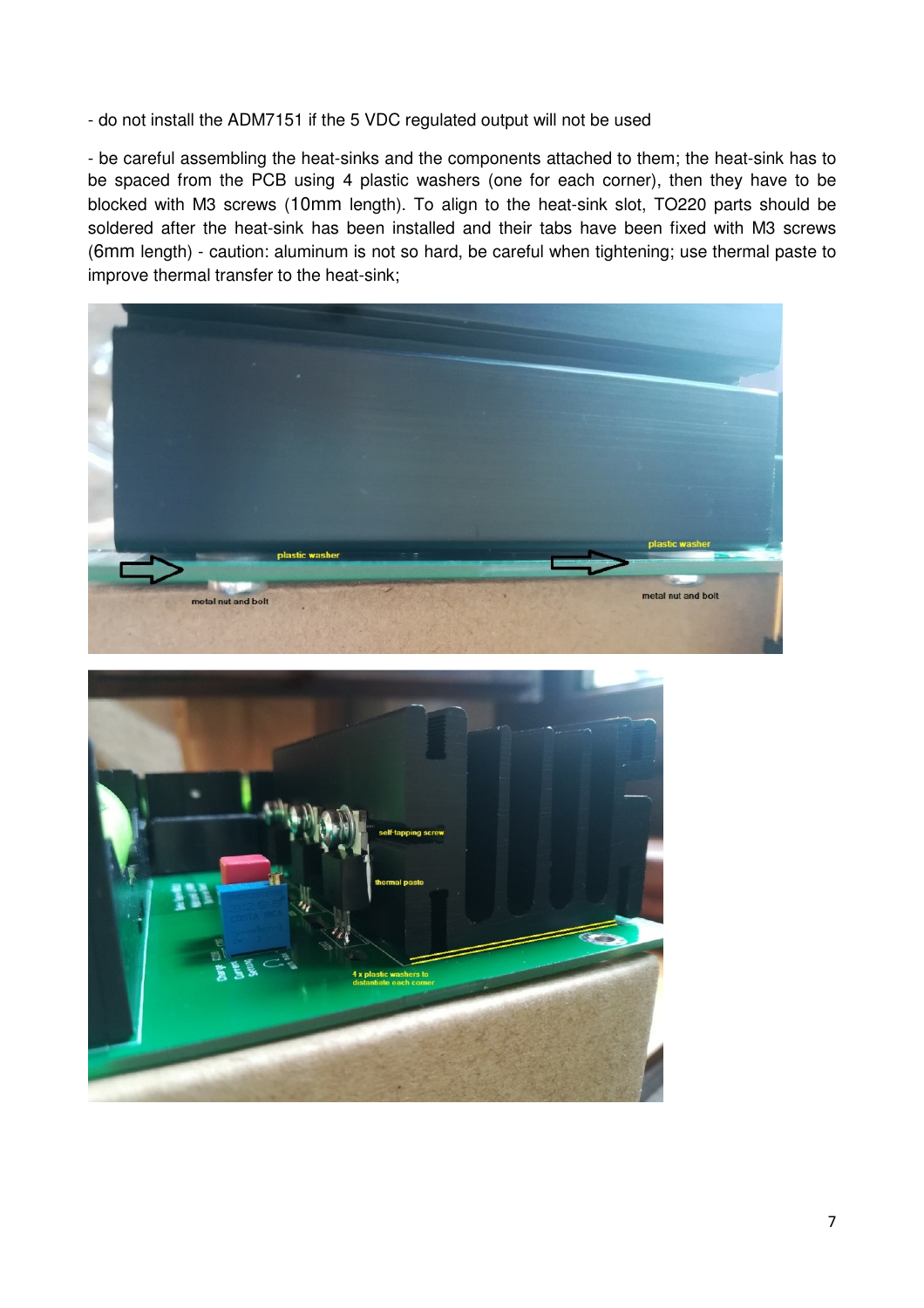- do not install the ADM7151 if the 5 VDC regulated output will not be used

- be careful assembling the heat-sinks and the components attached to them; the heat-sink has to be spaced from the PCB using 4 plastic washers (one for each corner), then they have to be blocked with M3 screws (10mm length). To align to the heat-sink slot, TO220 parts should be soldered after the heat-sink has been installed and their tabs have been fixed with M3 screws (6mm length) - caution: aluminum is not so hard, be careful when tightening; use thermal paste to improve thermal transfer to the heat-sink;



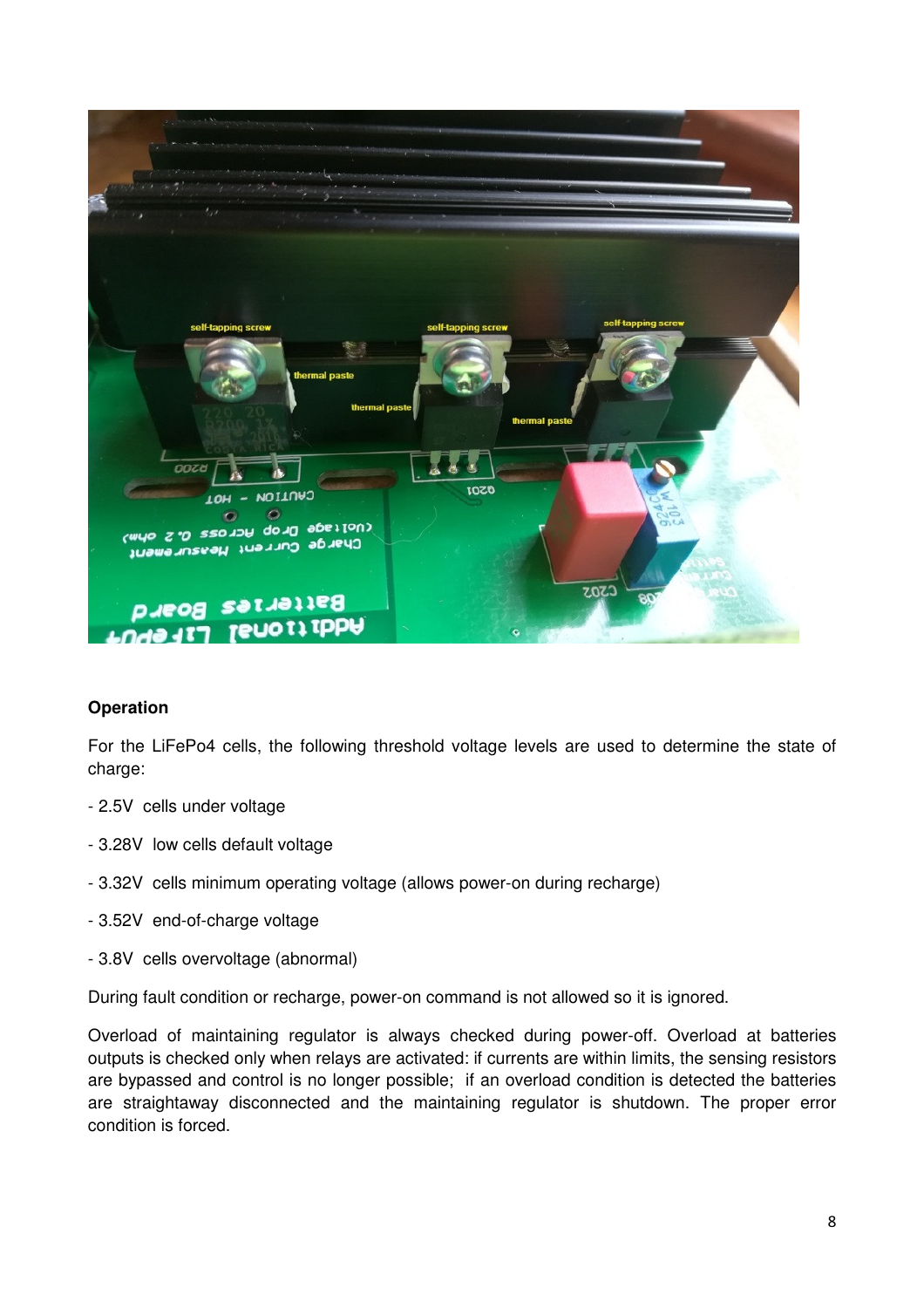

## **Operation**

For the LiFePo4 cells, the following threshold voltage levels are used to determine the state of charge:

- 2.5V cells under voltage
- 3.28V low cells default voltage
- 3.32V cells minimum operating voltage (allows power-on during recharge)
- 3.52V end-of-charge voltage
- 3.8V cells overvoltage (abnormal)

During fault condition or recharge, power-on command is not allowed so it is ignored.

Overload of maintaining regulator is always checked during power-off. Overload at batteries outputs is checked only when relays are activated: if currents are within limits, the sensing resistors are bypassed and control is no longer possible; if an overload condition is detected the batteries are straightaway disconnected and the maintaining regulator is shutdown. The proper error condition is forced.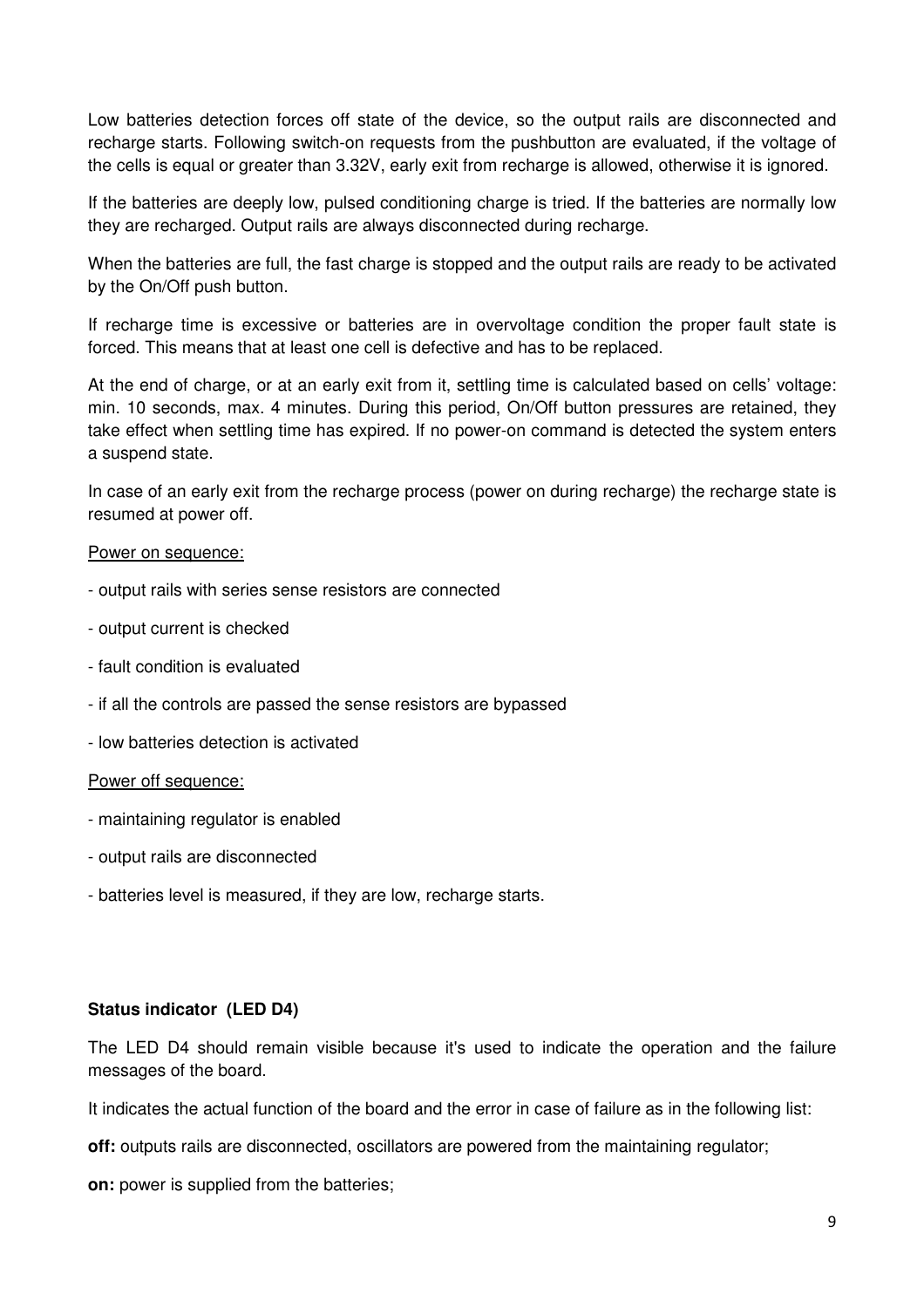Low batteries detection forces off state of the device, so the output rails are disconnected and recharge starts. Following switch-on requests from the pushbutton are evaluated, if the voltage of the cells is equal or greater than 3.32V, early exit from recharge is allowed, otherwise it is ignored.

If the batteries are deeply low, pulsed conditioning charge is tried. If the batteries are normally low they are recharged. Output rails are always disconnected during recharge.

When the batteries are full, the fast charge is stopped and the output rails are ready to be activated by the On/Off push button.

If recharge time is excessive or batteries are in overvoltage condition the proper fault state is forced. This means that at least one cell is defective and has to be replaced.

At the end of charge, or at an early exit from it, settling time is calculated based on cells' voltage: min. 10 seconds, max. 4 minutes. During this period, On/Off button pressures are retained, they take effect when settling time has expired. If no power-on command is detected the system enters a suspend state.

In case of an early exit from the recharge process (power on during recharge) the recharge state is resumed at power off.

### Power on sequence:

- output rails with series sense resistors are connected
- output current is checked
- fault condition is evaluated
- if all the controls are passed the sense resistors are bypassed
- low batteries detection is activated

#### Power off sequence:

- maintaining regulator is enabled
- output rails are disconnected
- batteries level is measured, if they are low, recharge starts.

#### **Status indicator (LED D4)**

The LED D4 should remain visible because it's used to indicate the operation and the failure messages of the board.

It indicates the actual function of the board and the error in case of failure as in the following list:

**off:** outputs rails are disconnected, oscillators are powered from the maintaining regulator;

**on:** power is supplied from the batteries;